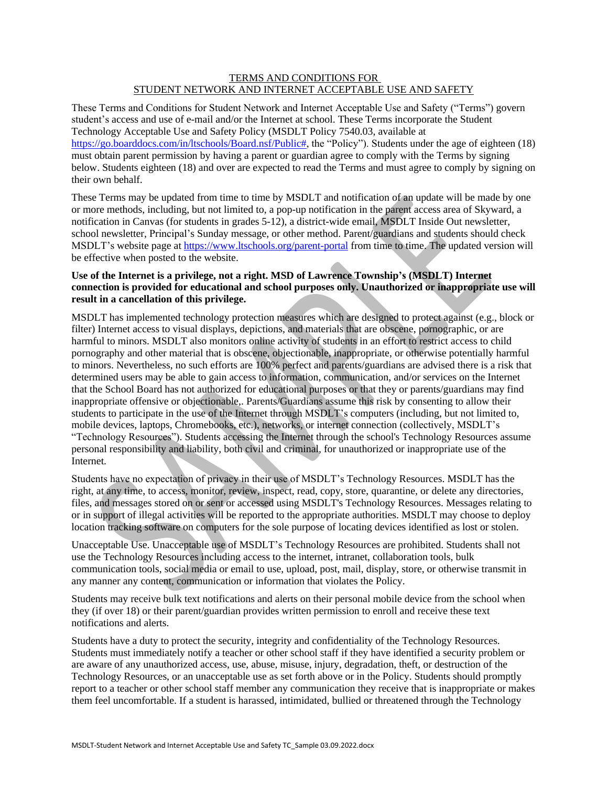## TERMS AND CONDITIONS FOR STUDENT NETWORK AND INTERNET ACCEPTABLE USE AND SAFETY

These Terms and Conditions for Student Network and Internet Acceptable Use and Safety ("Terms") govern student's access and use of e-mail and/or the Internet at school. These Terms incorporate the Student Technology Acceptable Use and Safety Policy (MSDLT Policy 7540.03, available at [https://go.boarddocs.com/in/ltschools/Board.nsf/Public#,](https://go.boarddocs.com/in/ltschools/Board.nsf/Public) the "Policy"). Students under the age of eighteen (18) must obtain parent permission by having a parent or guardian agree to comply with the Terms by signing below. Students eighteen (18) and over are expected to read the Terms and must agree to comply by signing on their own behalf.

These Terms may be updated from time to time by MSDLT and notification of an update will be made by one or more methods, including, but not limited to, a pop-up notification in the parent access area of Skyward, a notification in Canvas (for students in grades 5-12), a district-wide email, MSDLT Inside Out newsletter, school newsletter, Principal's Sunday message, or other method. Parent/guardians and students should check MSDLT's website page at<https://www.ltschools.org/parent-portal> from time to time. The updated version will be effective when posted to the website.

## **Use of the Internet is a privilege, not a right. MSD of Lawrence Township's (MSDLT) Internet connection is provided for educational and school purposes only. Unauthorized or inappropriate use will result in a cancellation of this privilege.**

MSDLT has implemented technology protection measures which are designed to protect against (e.g., block or filter) Internet access to visual displays, depictions, and materials that are obscene, pornographic, or are harmful to minors. MSDLT also monitors online activity of students in an effort to restrict access to child pornography and other material that is obscene, objectionable, inappropriate, or otherwise potentially harmful to minors. Nevertheless, no such efforts are 100% perfect and parents/guardians are advised there is a risk that determined users may be able to gain access to information, communication, and/or services on the Internet that the School Board has not authorized for educational purposes or that they or parents/guardians may find inappropriate offensive or objectionable,. Parents/Guardians assume this risk by consenting to allow their students to participate in the use of the Internet through MSDLT's computers (including, but not limited to, mobile devices, laptops, Chromebooks, etc.), networks, or internet connection (collectively, MSDLT's "Technology Resources"). Students accessing the Internet through the school's Technology Resources assume personal responsibility and liability, both civil and criminal, for unauthorized or inappropriate use of the Internet.

Students have no expectation of privacy in their use of MSDLT's Technology Resources. MSDLT has the right, at any time, to access, monitor, review, inspect, read, copy, store, quarantine, or delete any directories, files, and messages stored on or sent or accessed using MSDLT's Technology Resources. Messages relating to or in support of illegal activities will be reported to the appropriate authorities. MSDLT may choose to deploy location tracking software on computers for the sole purpose of locating devices identified as lost or stolen.

Unacceptable Use. Unacceptable use of MSDLT's Technology Resources are prohibited. Students shall not use the Technology Resources including access to the internet, intranet, collaboration tools, bulk communication tools, social media or email to use, upload, post, mail, display, store, or otherwise transmit in any manner any content, communication or information that violates the Policy.

Students may receive bulk text notifications and alerts on their personal mobile device from the school when they (if over 18) or their parent/guardian provides written permission to enroll and receive these text notifications and alerts.

Students have a duty to protect the security, integrity and confidentiality of the Technology Resources. Students must immediately notify a teacher or other school staff if they have identified a security problem or are aware of any unauthorized access, use, abuse, misuse, injury, degradation, theft, or destruction of the Technology Resources, or an unacceptable use as set forth above or in the Policy. Students should promptly report to a teacher or other school staff member any communication they receive that is inappropriate or makes them feel uncomfortable. If a student is harassed, intimidated, bullied or threatened through the Technology